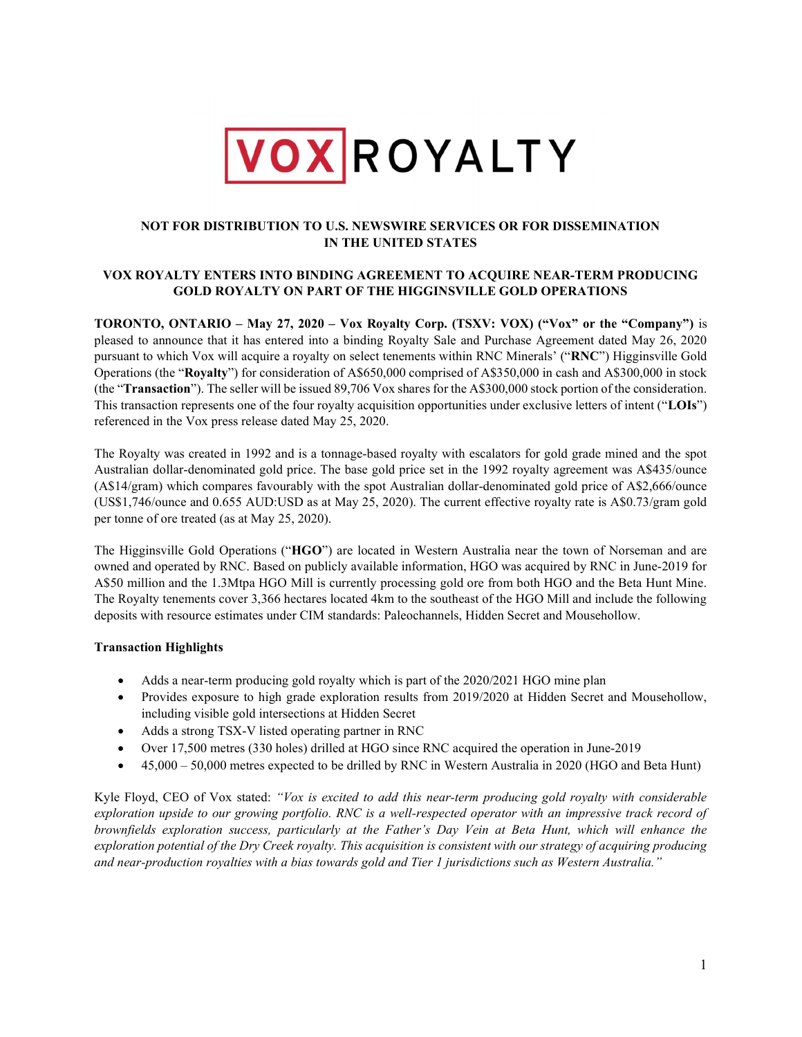

# NOT FOR DISTRIBUTION TO U.S. NEWSWIRE SERVICES OR FOR DISSEMINATION IN THE UNITED STATES

## VOX ROYALTY ENTERS INTO BINDING AGREEMENT TO ACQUIRE NEAR-TERM PRODUCING GOLD ROYALTY ON PART OF THE HIGGINSVILLE GOLD OPERATIONS

TORONTO, ONTARIO – May 27, 2020 – Vox Royalty Corp. (TSXV: VOX) ("Vox" or the "Company") is pleased to announce that it has entered into a binding Royalty Sale and Purchase Agreement dated May 26, 2020 pursuant to which Vox will acquire a royalty on select tenements within RNC Minerals' ("RNC") Higginsville Gold Operations (the "Royalty") for consideration of A\$650,000 comprised of A\$350,000 in cash and A\$300,000 in stock (the "Transaction"). The seller will be issued 89,706 Vox shares for the A\$300,000 stock portion of the consideration. This transaction represents one of the four royalty acquisition opportunities under exclusive letters of intent ("LOIs") referenced in the Vox press release dated May 25, 2020.

The Royalty was created in 1992 and is a tonnage-based royalty with escalators for gold grade mined and the spot Australian dollar-denominated gold price. The base gold price set in the 1992 royalty agreement was A\$435/ounce (A\$14/gram) which compares favourably with the spot Australian dollar-denominated gold price of A\$2,666/ounce (US\$1,746/ounce and 0.655 AUD:USD as at May 25, 2020). The current effective royalty rate is A\$0.73/gram gold per tonne of ore treated (as at May 25, 2020).

The Higginsville Gold Operations ("HGO") are located in Western Australia near the town of Norseman and are owned and operated by RNC. Based on publicly available information, HGO was acquired by RNC in June-2019 for A\$50 million and the 1.3Mtpa HGO Mill is currently processing gold ore from both HGO and the Beta Hunt Mine. The Royalty tenements cover 3,366 hectares located 4km to the southeast of the HGO Mill and include the following deposits with resource estimates under CIM standards: Paleochannels, Hidden Secret and Mousehollow.

# Transaction Highlights

- Adds a near-term producing gold royalty which is part of the 2020/2021 HGO mine plan
- Provides exposure to high grade exploration results from 2019/2020 at Hidden Secret and Mousehollow, including visible gold intersections at Hidden Secret
- Adds a strong TSX-V listed operating partner in RNC
- Over 17,500 metres (330 holes) drilled at HGO since RNC acquired the operation in June-2019
- 45,000 50,000 metres expected to be drilled by RNC in Western Australia in 2020 (HGO and Beta Hunt)

Kyle Floyd, CEO of Vox stated: "Vox is excited to add this near-term producing gold royalty with considerable exploration upside to our growing portfolio. RNC is a well-respected operator with an impressive track record of brownfields exploration success, particularly at the Father's Day Vein at Beta Hunt, which will enhance the exploration potential of the Dry Creek royalty. This acquisition is consistent with our strategy of acquiring producing and near-production royalties with a bias towards gold and Tier 1 jurisdictions such as Western Australia."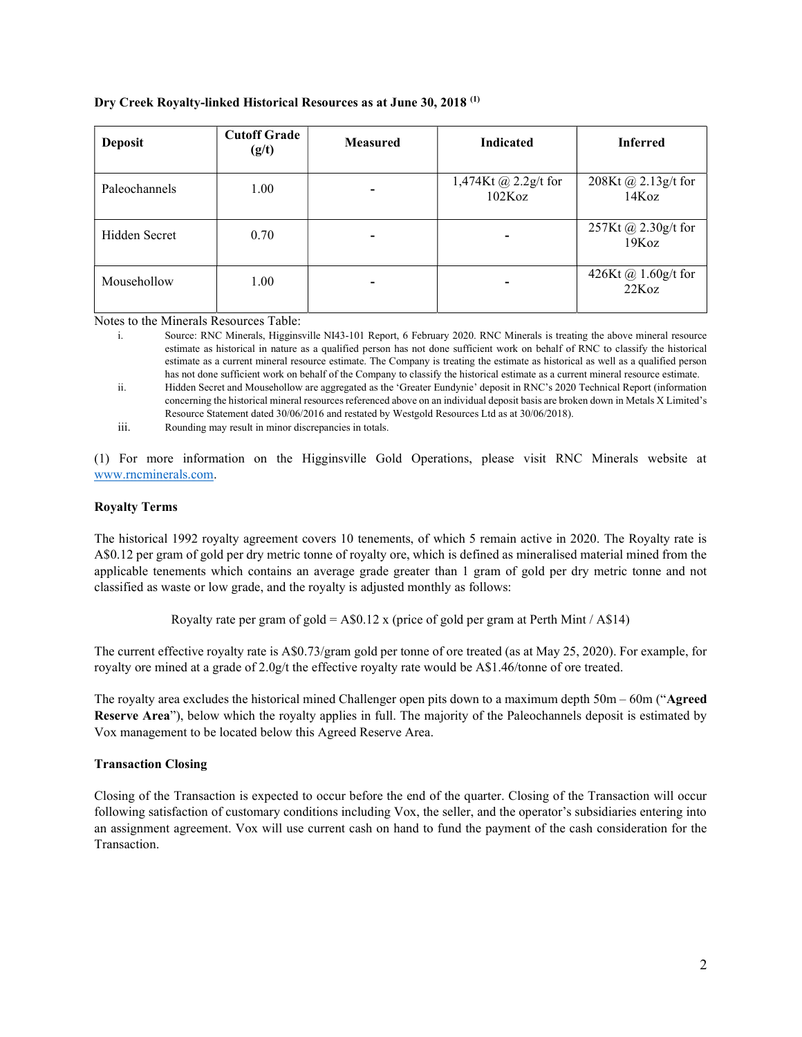#### Dry Creek Royalty-linked Historical Resources as at June 30, 2018 (1)

| <b>Deposit</b> | <b>Cutoff Grade</b><br>(g/t) | <b>Measured</b> | <b>Indicated</b>               | <b>Inferred</b>              |
|----------------|------------------------------|-----------------|--------------------------------|------------------------------|
| Paleochannels  | 1.00                         |                 | 1,474Kt @ 2.2g/t for<br>102Koz | 208Kt @ 2.13g/t for<br>14Koz |
| Hidden Secret  | 0.70                         |                 | ۰                              | 257Kt @ 2.30g/t for<br>19Koz |
| Mousehollow    | 1.00                         |                 | ۰                              | 426Kt @ 1.60g/t for<br>22Koz |

Notes to the Minerals Resources Table:

- i. Source: RNC Minerals, Higginsville NI43-101 Report, 6 February 2020. RNC Minerals is treating the above mineral resource estimate as historical in nature as a qualified person has not done sufficient work on behalf of RNC to classify the historical estimate as a current mineral resource estimate. The Company is treating the estimate as historical as well as a qualified person has not done sufficient work on behalf of the Company to classify the historical estimate as a current mineral resource estimate. ii. Hidden Secret and Mousehollow are aggregated as the 'Greater Eundynie' deposit in RNC's 2020 Technical Report (information
- concerning the historical mineral resources referenced above on an individual deposit basis are broken down in Metals X Limited's Resource Statement dated 30/06/2016 and restated by Westgold Resources Ltd as at 30/06/2018).
- iii. Rounding may result in minor discrepancies in totals.

(1) For more information on the Higginsville Gold Operations, please visit RNC Minerals website at www.rncminerals.com.

#### Royalty Terms

The historical 1992 royalty agreement covers 10 tenements, of which 5 remain active in 2020. The Royalty rate is A\$0.12 per gram of gold per dry metric tonne of royalty ore, which is defined as mineralised material mined from the applicable tenements which contains an average grade greater than 1 gram of gold per dry metric tonne and not classified as waste or low grade, and the royalty is adjusted monthly as follows:

Royalty rate per gram of gold = A\$0.12 x (price of gold per gram at Perth Mint / A\$14)

The current effective royalty rate is A\$0.73/gram gold per tonne of ore treated (as at May 25, 2020). For example, for royalty ore mined at a grade of 2.0g/t the effective royalty rate would be A\$1.46/tonne of ore treated.

The royalty area excludes the historical mined Challenger open pits down to a maximum depth 50m – 60m ("Agreed Reserve Area"), below which the royalty applies in full. The majority of the Paleochannels deposit is estimated by Vox management to be located below this Agreed Reserve Area.

### Transaction Closing

Closing of the Transaction is expected to occur before the end of the quarter. Closing of the Transaction will occur following satisfaction of customary conditions including Vox, the seller, and the operator's subsidiaries entering into an assignment agreement. Vox will use current cash on hand to fund the payment of the cash consideration for the Transaction.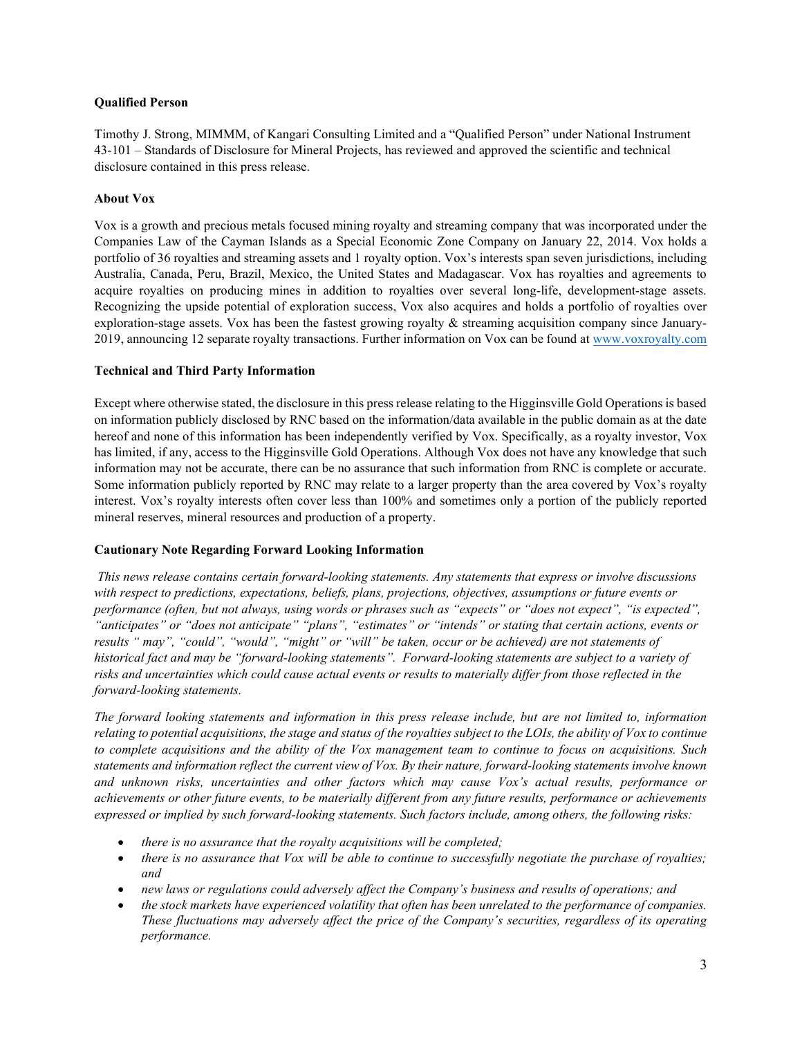### Qualified Person

Timothy J. Strong, MIMMM, of Kangari Consulting Limited and a "Qualified Person" under National Instrument 43-101 – Standards of Disclosure for Mineral Projects, has reviewed and approved the scientific and technical disclosure contained in this press release.

### About Vox

Vox is a growth and precious metals focused mining royalty and streaming company that was incorporated under the Companies Law of the Cayman Islands as a Special Economic Zone Company on January 22, 2014. Vox holds a portfolio of 36 royalties and streaming assets and 1 royalty option. Vox's interests span seven jurisdictions, including Australia, Canada, Peru, Brazil, Mexico, the United States and Madagascar. Vox has royalties and agreements to acquire royalties on producing mines in addition to royalties over several long-life, development-stage assets. Recognizing the upside potential of exploration success, Vox also acquires and holds a portfolio of royalties over exploration-stage assets. Vox has been the fastest growing royalty & streaming acquisition company since January-2019, announcing 12 separate royalty transactions. Further information on Vox can be found at www.voxroyalty.com

### Technical and Third Party Information

Except where otherwise stated, the disclosure in this press release relating to the Higginsville Gold Operations is based on information publicly disclosed by RNC based on the information/data available in the public domain as at the date hereof and none of this information has been independently verified by Vox. Specifically, as a royalty investor, Vox has limited, if any, access to the Higginsville Gold Operations. Although Vox does not have any knowledge that such information may not be accurate, there can be no assurance that such information from RNC is complete or accurate. Some information publicly reported by RNC may relate to a larger property than the area covered by Vox's royalty interest. Vox's royalty interests often cover less than 100% and sometimes only a portion of the publicly reported mineral reserves, mineral resources and production of a property.

### Cautionary Note Regarding Forward Looking Information

This news release contains certain forward-looking statements. Any statements that express or involve discussions with respect to predictions, expectations, beliefs, plans, projections, objectives, assumptions or future events or performance (often, but not always, using words or phrases such as "expects" or "does not expect", "is expected", "anticipates" or "does not anticipate" "plans", "estimates" or "intends" or stating that certain actions, events or results " may", "could", "would", "might" or "will" be taken, occur or be achieved) are not statements of historical fact and may be "forward-looking statements". Forward-looking statements are subject to a variety of risks and uncertainties which could cause actual events or results to materially differ from those reflected in the forward-looking statements.

The forward looking statements and information in this press release include, but are not limited to, information relating to potential acquisitions, the stage and status of the royalties subject to the LOIs, the ability of Vox to continue to complete acquisitions and the ability of the Vox management team to continue to focus on acquisitions. Such statements and information reflect the current view of Vox. By their nature, forward-looking statements involve known and unknown risks, uncertainties and other factors which may cause Vox's actual results, performance or achievements or other future events, to be materially different from any future results, performance or achievements expressed or implied by such forward-looking statements. Such factors include, among others, the following risks:

- there is no assurance that the royalty acquisitions will be completed;
- there is no assurance that Vox will be able to continue to successfully negotiate the purchase of royalties; and
- new laws or regulations could adversely affect the Company's business and results of operations; and
- the stock markets have experienced volatility that often has been unrelated to the performance of companies. These fluctuations may adversely affect the price of the Company's securities, regardless of its operating performance.